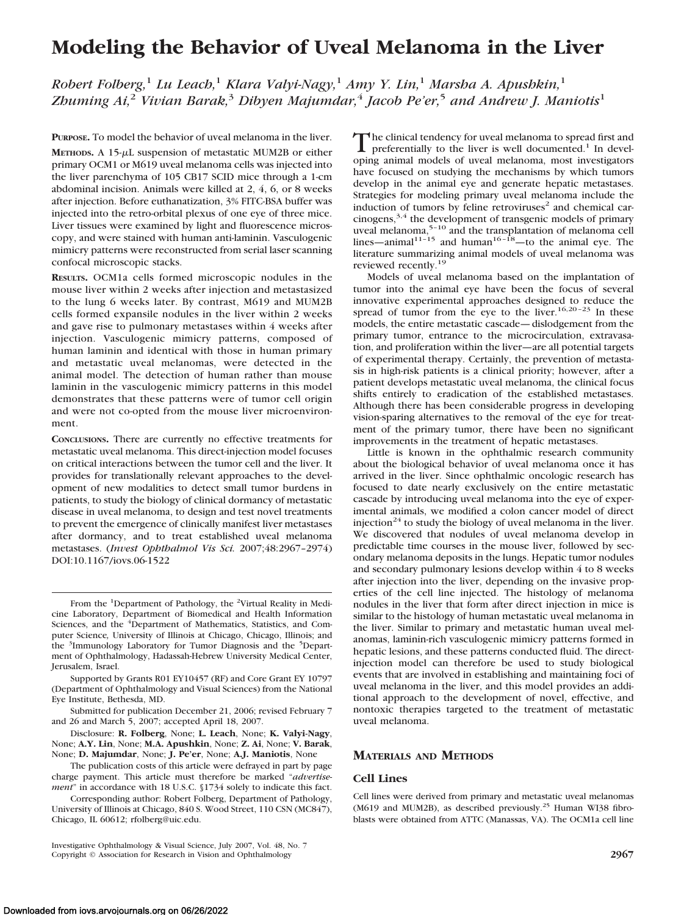# **Modeling the Behavior of Uveal Melanoma in the Liver**

*Robert Folberg,*<sup>1</sup> *Lu Leach,*<sup>1</sup> *Klara Valyi-Nagy,*<sup>1</sup> *Amy Y. Lin,*<sup>1</sup> *Marsha A. Apushkin,*<sup>1</sup> *Zhuming Ai,*<sup>2</sup> *Vivian Barak,*<sup>3</sup> *Dibyen Majumdar,*<sup>4</sup> *Jacob Pe'er,*<sup>5</sup> *and Andrew J. Maniotis*<sup>1</sup>

**PURPOSE.** To model the behavior of uveal melanoma in the liver.

**METHODS.** A 15- $\mu$ L suspension of metastatic MUM2B or either primary OCM1 or M619 uveal melanoma cells was injected into the liver parenchyma of 105 CB17 SCID mice through a 1-cm abdominal incision. Animals were killed at 2, 4, 6, or 8 weeks after injection. Before euthanatization, 3% FITC-BSA buffer was injected into the retro-orbital plexus of one eye of three mice. Liver tissues were examined by light and fluorescence microscopy, and were stained with human anti-laminin. Vasculogenic mimicry patterns were reconstructed from serial laser scanning confocal microscopic stacks.

**RESULTS.** OCM1a cells formed microscopic nodules in the mouse liver within 2 weeks after injection and metastasized to the lung 6 weeks later. By contrast, M619 and MUM2B cells formed expansile nodules in the liver within 2 weeks and gave rise to pulmonary metastases within 4 weeks after injection. Vasculogenic mimicry patterns, composed of human laminin and identical with those in human primary and metastatic uveal melanomas, were detected in the animal model. The detection of human rather than mouse laminin in the vasculogenic mimicry patterns in this model demonstrates that these patterns were of tumor cell origin and were not co-opted from the mouse liver microenvironment.

**CONCLUSIONS.** There are currently no effective treatments for metastatic uveal melanoma. This direct-injection model focuses on critical interactions between the tumor cell and the liver. It provides for translationally relevant approaches to the development of new modalities to detect small tumor burdens in patients, to study the biology of clinical dormancy of metastatic disease in uveal melanoma, to design and test novel treatments to prevent the emergence of clinically manifest liver metastases after dormancy, and to treat established uveal melanoma metastases. (*Invest Ophthalmol Vis Sci.* 2007;48:2967–2974) DOI:10.1167/iovs.06-1522

Supported by Grants R01 EY10457 (RF) and Core Grant EY 10797 (Department of Ophthalmology and Visual Sciences) from the National Eye Institute, Bethesda, MD.

Submitted for publication December 21, 2006; revised February 7 and 26 and March 5, 2007; accepted April 18, 2007.

Disclosure: **R. Folberg**, None; **L. Leach**, None; **K. Valyi-Nagy**, None; **A.Y. Lin**, None; **M.A. Apushkin**, None; **Z. Ai**, None; **V. Barak**, None; **D. Majumdar**, None; **J. Pe'er**, None; **A.J. Maniotis**, None

The publication costs of this article were defrayed in part by page charge payment. This article must therefore be marked "*advertisement*" in accordance with 18 U.S.C. §1734 solely to indicate this fact.

Corresponding author: Robert Folberg, Department of Pathology, University of Illinois at Chicago, 840 S. Wood Street, 110 CSN (MC847), Chicago, IL 60612; rfolberg@uic.edu.

Investigative Ophthalmology & Visual Science, July 2007, Vol. 48, No. 7 Copyright © Association for Research in Vision and Ophthalmology **2967**

The clinical tendency for uveal melanoma to spread first and preferentially to the liver is well documented.<sup>1</sup> In developing animal models of uveal melanoma, most investigators have focused on studying the mechanisms by which tumors develop in the animal eye and generate hepatic metastases. Strategies for modeling primary uveal melanoma include the induction of tumors by feline retroviruses<sup>2</sup> and chemical carcinogens,3,4 the development of transgenic models of primary uveal melanoma,5–10 and the transplantation of melanoma cell lines—animal<sup>11–15</sup> and human<sup>16–18</sup>—to the animal eye. The literature summarizing animal models of uveal melanoma was reviewed recently.19

Models of uveal melanoma based on the implantation of tumor into the animal eye have been the focus of several innovative experimental approaches designed to reduce the spread of tumor from the eye to the liver.<sup>16,20-23</sup> In these models, the entire metastatic cascade— dislodgement from the primary tumor, entrance to the microcirculation, extravasation, and proliferation within the liver—are all potential targets of experimental therapy. Certainly, the prevention of metastasis in high-risk patients is a clinical priority; however, after a patient develops metastatic uveal melanoma, the clinical focus shifts entirely to eradication of the established metastases. Although there has been considerable progress in developing vision-sparing alternatives to the removal of the eye for treatment of the primary tumor, there have been no significant improvements in the treatment of hepatic metastases.

Little is known in the ophthalmic research community about the biological behavior of uveal melanoma once it has arrived in the liver. Since ophthalmic oncologic research has focused to date nearly exclusively on the entire metastatic cascade by introducing uveal melanoma into the eye of experimental animals, we modified a colon cancer model of direct injection<sup>24</sup> to study the biology of uveal melanoma in the liver. We discovered that nodules of uveal melanoma develop in predictable time courses in the mouse liver, followed by secondary melanoma deposits in the lungs. Hepatic tumor nodules and secondary pulmonary lesions develop within 4 to 8 weeks after injection into the liver, depending on the invasive properties of the cell line injected. The histology of melanoma nodules in the liver that form after direct injection in mice is similar to the histology of human metastatic uveal melanoma in the liver. Similar to primary and metastatic human uveal melanomas, laminin-rich vasculogenic mimicry patterns formed in hepatic lesions, and these patterns conducted fluid. The directinjection model can therefore be used to study biological events that are involved in establishing and maintaining foci of uveal melanoma in the liver, and this model provides an additional approach to the development of novel, effective, and nontoxic therapies targeted to the treatment of metastatic uveal melanoma.

## **MATERIALS AND METHODS**

#### **Cell Lines**

Cell lines were derived from primary and metastatic uveal melanomas (M619 and MUM2B), as described previously.<sup>25</sup> Human WI38 fibroblasts were obtained from ATTC (Manassas, VA). The OCM1a cell line

From the <sup>1</sup>Department of Pathology, the <sup>2</sup>Virtual Reality in Medicine Laboratory, Department of Biomedical and Health Information Sciences, and the <sup>4</sup>Department of Mathematics, Statistics, and Computer Science*,* University of Illinois at Chicago, Chicago, Illinois; and the <sup>3</sup>Immunology Laboratory for Tumor Diagnosis and the <sup>5</sup>Department of Ophthalmology, Hadassah-Hebrew University Medical Center, Jerusalem, Israel.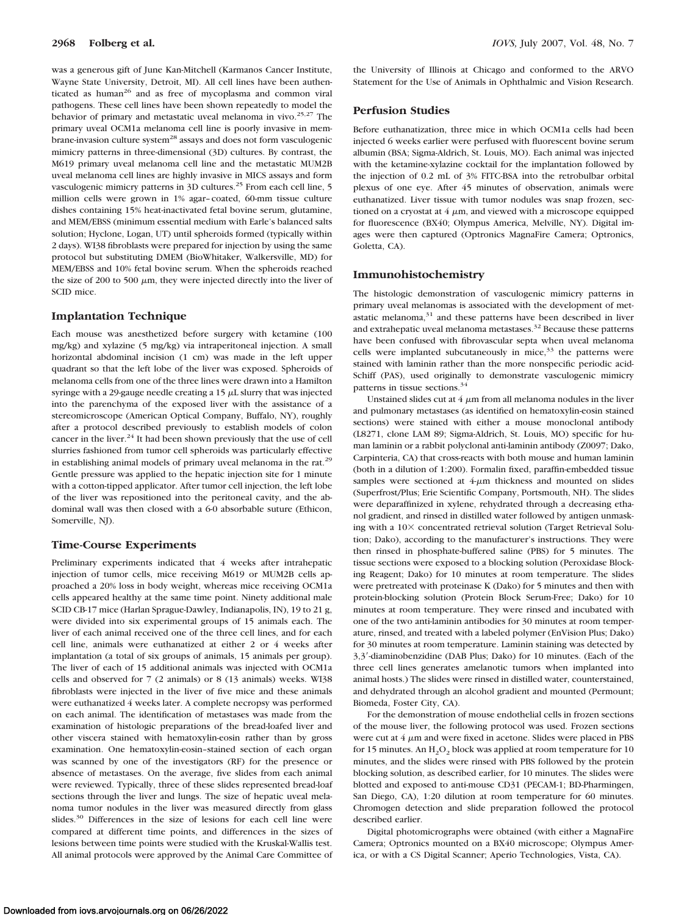was a generous gift of June Kan-Mitchell (Karmanos Cancer Institute, Wayne State University, Detroit, MI). All cell lines have been authenticated as human<sup>26</sup> and as free of mycoplasma and common viral pathogens. These cell lines have been shown repeatedly to model the behavior of primary and metastatic uveal melanoma in vivo.<sup>25,27</sup> The primary uveal OCM1a melanoma cell line is poorly invasive in membrane-invasion culture system<sup>28</sup> assays and does not form vasculogenic mimicry patterns in three-dimensional (3D) cultures. By contrast, the M619 primary uveal melanoma cell line and the metastatic MUM2B uveal melanoma cell lines are highly invasive in MICS assays and form vasculogenic mimicry patterns in 3D cultures.<sup>25</sup> From each cell line, 5 million cells were grown in 1% agar–coated, 60-mm tissue culture dishes containing 15% heat-inactivated fetal bovine serum, glutamine, and MEM/EBSS (minimum essential medium with Earle's balanced salts solution; Hyclone, Logan, UT) until spheroids formed (typically within 2 days). WI38 fibroblasts were prepared for injection by using the same protocol but substituting DMEM (BioWhitaker, Walkersville, MD) for MEM/EBSS and 10% fetal bovine serum. When the spheroids reached the size of 200 to 500  $\mu$ m, they were injected directly into the liver of SCID mice.

### **Implantation Technique**

Each mouse was anesthetized before surgery with ketamine (100 mg/kg) and xylazine (5 mg/kg) via intraperitoneal injection. A small horizontal abdominal incision (1 cm) was made in the left upper quadrant so that the left lobe of the liver was exposed. Spheroids of melanoma cells from one of the three lines were drawn into a Hamilton syringe with a 29-gauge needle creating a 15  $\mu$ L slurry that was injected into the parenchyma of the exposed liver with the assistance of a stereomicroscope (American Optical Company, Buffalo, NY), roughly after a protocol described previously to establish models of colon cancer in the liver. $24$  It had been shown previously that the use of cell slurries fashioned from tumor cell spheroids was particularly effective in establishing animal models of primary uveal melanoma in the rat.<sup>29</sup> Gentle pressure was applied to the hepatic injection site for 1 minute with a cotton-tipped applicator. After tumor cell injection, the left lobe of the liver was repositioned into the peritoneal cavity, and the abdominal wall was then closed with a 6-0 absorbable suture (Ethicon, Somerville, NJ).

## **Time-Course Experiments**

Preliminary experiments indicated that 4 weeks after intrahepatic injection of tumor cells, mice receiving M619 or MUM2B cells approached a 20% loss in body weight, whereas mice receiving OCM1a cells appeared healthy at the same time point. Ninety additional male SCID CB-17 mice (Harlan Sprague-Dawley, Indianapolis, IN), 19 to 21 g, were divided into six experimental groups of 15 animals each. The liver of each animal received one of the three cell lines, and for each cell line, animals were euthanatized at either 2 or 4 weeks after implantation (a total of six groups of animals, 15 animals per group). The liver of each of 15 additional animals was injected with OCM1a cells and observed for 7 (2 animals) or 8 (13 animals) weeks. WI38 fibroblasts were injected in the liver of five mice and these animals were euthanatized 4 weeks later. A complete necropsy was performed on each animal. The identification of metastases was made from the examination of histologic preparations of the bread-loafed liver and other viscera stained with hematoxylin-eosin rather than by gross examination. One hematoxylin-eosin–stained section of each organ was scanned by one of the investigators (RF) for the presence or absence of metastases. On the average, five slides from each animal were reviewed. Typically, three of these slides represented bread-loaf sections through the liver and lungs. The size of hepatic uveal melanoma tumor nodules in the liver was measured directly from glass slides.<sup>30</sup> Differences in the size of lesions for each cell line were compared at different time points, and differences in the sizes of lesions between time points were studied with the Kruskal-Wallis test. All animal protocols were approved by the Animal Care Committee of

the University of Illinois at Chicago and conformed to the ARVO Statement for the Use of Animals in Ophthalmic and Vision Research.

## **Perfusion Studies**

Before euthanatization, three mice in which OCM1a cells had been injected 6 weeks earlier were perfused with fluorescent bovine serum albumin (BSA; Sigma-Aldrich, St. Louis, MO). Each animal was injected with the ketamine-xylazine cocktail for the implantation followed by the injection of 0.2 mL of 3% FITC-BSA into the retrobulbar orbital plexus of one eye. After 45 minutes of observation, animals were euthanatized. Liver tissue with tumor nodules was snap frozen, sectioned on a cryostat at  $4 \mu m$ , and viewed with a microscope equipped for fluorescence (BX40; Olympus America, Melville, NY). Digital images were then captured (Optronics MagnaFire Camera; Optronics, Goletta, CA).

### **Immunohistochemistry**

The histologic demonstration of vasculogenic mimicry patterns in primary uveal melanomas is associated with the development of metastatic melanoma, $31$  and these patterns have been described in liver and extrahepatic uveal melanoma metastases.<sup>32</sup> Because these patterns have been confused with fibrovascular septa when uveal melanoma cells were implanted subcutaneously in mice,<sup>33</sup> the patterns were stained with laminin rather than the more nonspecific periodic acid-Schiff (PAS), used originally to demonstrate vasculogenic mimicry patterns in tissue sections.<sup>34</sup>

Unstained slides cut at  $4 \mu m$  from all melanoma nodules in the liver and pulmonary metastases (as identified on hematoxylin-eosin stained sections) were stained with either a mouse monoclonal antibody (L8271, clone LAM 89; Sigma-Aldrich, St. Louis, MO) specific for human laminin or a rabbit polyclonal anti-laminin antibody (Z0097; Dako, Carpinteria, CA) that cross-reacts with both mouse and human laminin (both in a dilution of 1:200). Formalin fixed, paraffin-embedded tissue samples were sectioned at  $4-\mu m$  thickness and mounted on slides (Superfrost/Plus; Erie Scientific Company, Portsmouth, NH). The slides were deparaffinized in xylene, rehydrated through a decreasing ethanol gradient, and rinsed in distilled water followed by antigen unmasking with a  $10\times$  concentrated retrieval solution (Target Retrieval Solution; Dako), according to the manufacturer's instructions. They were then rinsed in phosphate-buffered saline (PBS) for 5 minutes. The tissue sections were exposed to a blocking solution (Peroxidase Blocking Reagent; Dako) for 10 minutes at room temperature. The slides were pretreated with proteinase K (Dako) for 5 minutes and then with protein-blocking solution (Protein Block Serum-Free; Dako) for 10 minutes at room temperature. They were rinsed and incubated with one of the two anti-laminin antibodies for 30 minutes at room temperature, rinsed, and treated with a labeled polymer (EnVision Plus; Dako) for 30 minutes at room temperature. Laminin staining was detected by 3,3--diaminobenzidine (DAB Plus; Dako) for 10 minutes. (Each of the three cell lines generates amelanotic tumors when implanted into animal hosts.) The slides were rinsed in distilled water, counterstained, and dehydrated through an alcohol gradient and mounted (Permount; Biomeda, Foster City, CA).

For the demonstration of mouse endothelial cells in frozen sections of the mouse liver, the following protocol was used. Frozen sections were cut at  $4 \mu m$  and were fixed in acetone. Slides were placed in PBS for 15 minutes. An  $H_2O_2$  block was applied at room temperature for 10 minutes, and the slides were rinsed with PBS followed by the protein blocking solution, as described earlier, for 10 minutes. The slides were blotted and exposed to anti-mouse CD31 (PECAM-1; BD-Pharmingen, San Diego, CA), 1:20 dilution at room temperature for 60 minutes. Chromogen detection and slide preparation followed the protocol described earlier.

Digital photomicrographs were obtained (with either a MagnaFire Camera; Optronics mounted on a BX40 microscope; Olympus America, or with a CS Digital Scanner; Aperio Technologies, Vista, CA).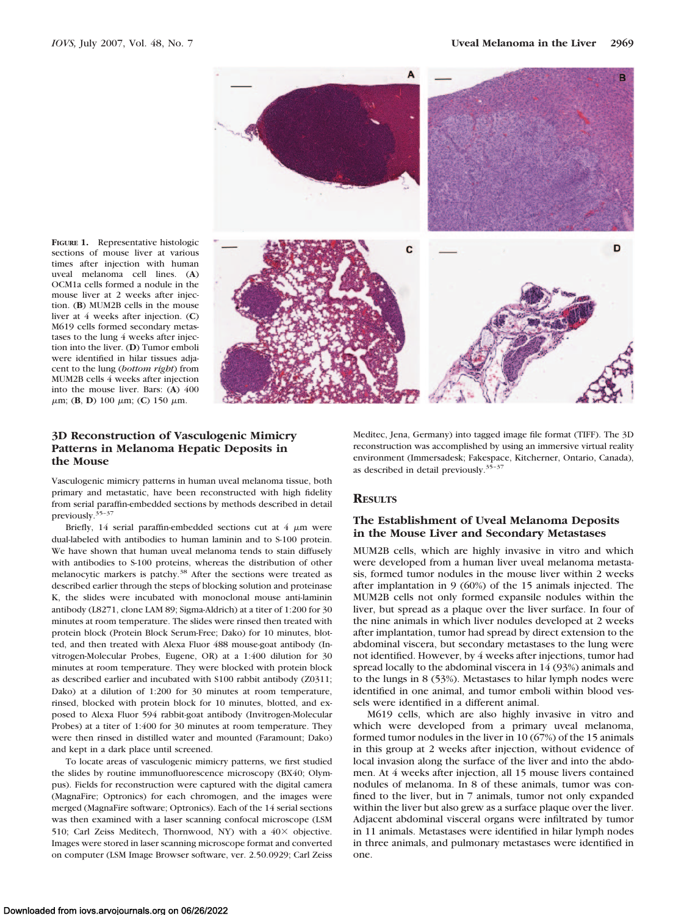**FIGURE 1.** Representative histologic sections of mouse liver at various times after injection with human uveal melanoma cell lines. (**A**) OCM1a cells formed a nodule in the mouse liver at 2 weeks after injection. (**B**) MUM2B cells in the mouse liver at 4 weeks after injection. (**C**) M619 cells formed secondary metastases to the lung 4 weeks after injection into the liver. (**D**) Tumor emboli were identified in hilar tissues adjacent to the lung (*bottom right*) from MUM2B cells 4 weeks after injection into the mouse liver. Bars: (**A**) 400  $\mu$ m; (**B**, **D**) 100  $\mu$ m; (**C**) 150  $\mu$ m.



# **3D Reconstruction of Vasculogenic Mimicry Patterns in Melanoma Hepatic Deposits in the Mouse**

Vasculogenic mimicry patterns in human uveal melanoma tissue, both primary and metastatic, have been reconstructed with high fidelity from serial paraffin-embedded sections by methods described in detail previously.35–37

Briefly, 14 serial paraffin-embedded sections cut at  $4 \mu m$  were dual-labeled with antibodies to human laminin and to S-100 protein. We have shown that human uveal melanoma tends to stain diffusely with antibodies to S-100 proteins, whereas the distribution of other melanocytic markers is patchy.<sup>38</sup> After the sections were treated as described earlier through the steps of blocking solution and proteinase K, the slides were incubated with monoclonal mouse anti-laminin antibody (L8271, clone LAM 89; Sigma-Aldrich) at a titer of 1:200 for 30 minutes at room temperature. The slides were rinsed then treated with protein block (Protein Block Serum-Free; Dako) for 10 minutes, blotted, and then treated with Alexa Fluor 488 mouse-goat antibody (Invitrogen-Molecular Probes, Eugene, OR) at a 1:400 dilution for 30 minutes at room temperature. They were blocked with protein block as described earlier and incubated with S100 rabbit antibody (Z0311; Dako) at a dilution of 1:200 for 30 minutes at room temperature, rinsed, blocked with protein block for 10 minutes, blotted, and exposed to Alexa Fluor 594 rabbit-goat antibody (Invitrogen-Molecular Probes) at a titer of 1:400 for 30 minutes at room temperature. They were then rinsed in distilled water and mounted (Faramount; Dako) and kept in a dark place until screened.

To locate areas of vasculogenic mimicry patterns, we first studied the slides by routine immunofluorescence microscopy (BX40; Olympus). Fields for reconstruction were captured with the digital camera (MagnaFire; Optronics) for each chromogen, and the images were merged (MagnaFire software; Optronics). Each of the 14 serial sections was then examined with a laser scanning confocal microscope (LSM 510; Carl Zeiss Meditech, Thornwood, NY) with a  $40\times$  objective. Images were stored in laser scanning microscope format and converted on computer (LSM Image Browser software, ver. 2.50.0929; Carl Zeiss

Meditec, Jena, Germany) into tagged image file format (TIFF). The 3D reconstruction was accomplished by using an immersive virtual reality environment (Immersadesk; Fakespace, Kitcherner, Ontario, Canada), as described in detail previously.35–37

## **RESULTS**

# **The Establishment of Uveal Melanoma Deposits in the Mouse Liver and Secondary Metastases**

MUM2B cells, which are highly invasive in vitro and which were developed from a human liver uveal melanoma metastasis, formed tumor nodules in the mouse liver within 2 weeks after implantation in 9 (60%) of the 15 animals injected. The MUM2B cells not only formed expansile nodules within the liver, but spread as a plaque over the liver surface. In four of the nine animals in which liver nodules developed at 2 weeks after implantation, tumor had spread by direct extension to the abdominal viscera, but secondary metastases to the lung were not identified. However, by 4 weeks after injections, tumor had spread locally to the abdominal viscera in 14 (93%) animals and to the lungs in 8 (53%). Metastases to hilar lymph nodes were identified in one animal, and tumor emboli within blood vessels were identified in a different animal.

M619 cells, which are also highly invasive in vitro and which were developed from a primary uveal melanoma, formed tumor nodules in the liver in 10 (67%) of the 15 animals in this group at 2 weeks after injection, without evidence of local invasion along the surface of the liver and into the abdomen. At 4 weeks after injection, all 15 mouse livers contained nodules of melanoma. In 8 of these animals, tumor was confined to the liver, but in 7 animals, tumor not only expanded within the liver but also grew as a surface plaque over the liver. Adjacent abdominal visceral organs were infiltrated by tumor in 11 animals. Metastases were identified in hilar lymph nodes in three animals, and pulmonary metastases were identified in one.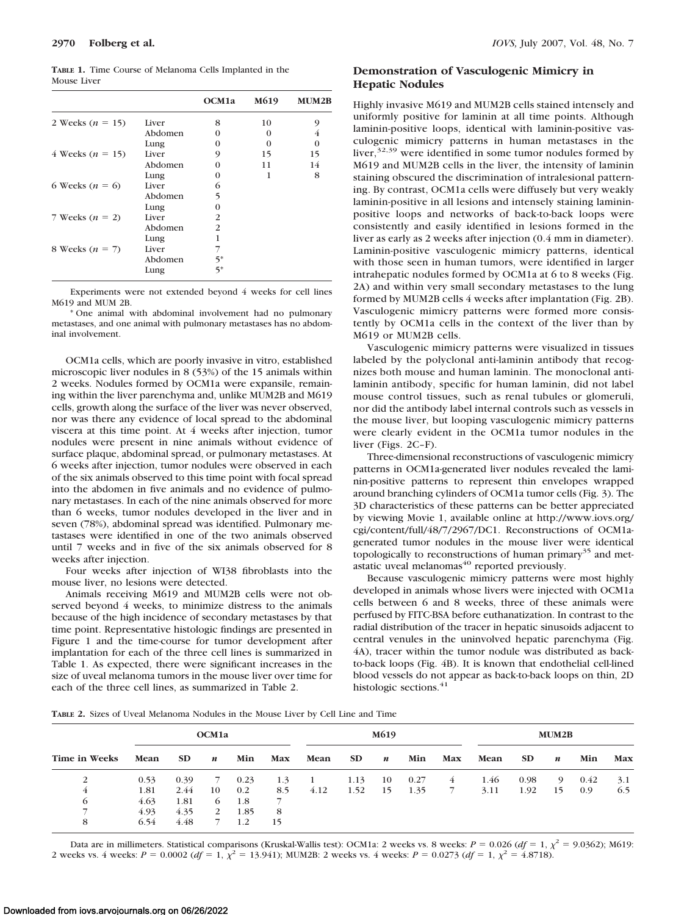**TABLE 1.** Time Course of Melanoma Cells Implanted in the Mouse Liver

|                      |         | OCM1a                       | M619     | <b>MUM2B</b> |
|----------------------|---------|-----------------------------|----------|--------------|
| 2 Weeks $(n = 15)$   | Liver   | 8                           | 10       | 9            |
|                      | Abdomen | 0                           | $\Omega$ | 4            |
|                      | Lung    | 0                           | $\Omega$ | $\Omega$     |
| 4 Weeks ( $n = 15$ ) | Liver   | 9                           | 15       | 15           |
|                      | Abdomen | 0                           | 11       | 14           |
|                      | Lung    | 0                           | 1        | 8            |
| 6 Weeks $(n = 6)$    | Liver   | 6                           |          |              |
|                      | Abdomen | 5                           |          |              |
|                      | Lung    | $\Omega$                    |          |              |
| 7 Weeks $(n = 2)$    | Liver   | $\mathcal{P}_{\mathcal{L}}$ |          |              |
|                      | Abdomen | 2                           |          |              |
|                      | Lung    | 1                           |          |              |
| 8 Weeks $(n = 7)$    | Liver   |                             |          |              |
|                      | Abdomen | 5*                          |          |              |
|                      | Lung    | $5*$                        |          |              |

Experiments were not extended beyond 4 weeks for cell lines M619 and MUM 2B.

\* One animal with abdominal involvement had no pulmonary metastases, and one animal with pulmonary metastases has no abdominal involvement.

OCM1a cells, which are poorly invasive in vitro, established microscopic liver nodules in 8 (53%) of the 15 animals within 2 weeks. Nodules formed by OCM1a were expansile, remaining within the liver parenchyma and, unlike MUM2B and M619 cells, growth along the surface of the liver was never observed, nor was there any evidence of local spread to the abdominal viscera at this time point. At 4 weeks after injection, tumor nodules were present in nine animals without evidence of surface plaque, abdominal spread, or pulmonary metastases. At 6 weeks after injection, tumor nodules were observed in each of the six animals observed to this time point with focal spread into the abdomen in five animals and no evidence of pulmonary metastases. In each of the nine animals observed for more than 6 weeks, tumor nodules developed in the liver and in seven (78%), abdominal spread was identified. Pulmonary metastases were identified in one of the two animals observed until 7 weeks and in five of the six animals observed for 8 weeks after injection.

Four weeks after injection of WI38 fibroblasts into the mouse liver, no lesions were detected.

Animals receiving M619 and MUM2B cells were not observed beyond 4 weeks, to minimize distress to the animals because of the high incidence of secondary metastases by that time point. Representative histologic findings are presented in Figure 1 and the time-course for tumor development after implantation for each of the three cell lines is summarized in Table 1. As expected, there were significant increases in the size of uveal melanoma tumors in the mouse liver over time for each of the three cell lines, as summarized in Table 2.

# **Demonstration of Vasculogenic Mimicry in Hepatic Nodules**

Highly invasive M619 and MUM2B cells stained intensely and uniformly positive for laminin at all time points. Although laminin-positive loops, identical with laminin-positive vasculogenic mimicry patterns in human metastases in the liver,  $32,39$  were identified in some tumor nodules formed by M619 and MUM2B cells in the liver, the intensity of laminin staining obscured the discrimination of intralesional patterning. By contrast, OCM1a cells were diffusely but very weakly laminin-positive in all lesions and intensely staining lamininpositive loops and networks of back-to-back loops were consistently and easily identified in lesions formed in the liver as early as 2 weeks after injection (0.4 mm in diameter). Laminin-positive vasculogenic mimicry patterns, identical with those seen in human tumors, were identified in larger intrahepatic nodules formed by OCM1a at 6 to 8 weeks (Fig. 2A) and within very small secondary metastases to the lung formed by MUM2B cells 4 weeks after implantation (Fig. 2B). Vasculogenic mimicry patterns were formed more consistently by OCM1a cells in the context of the liver than by M619 or MUM2B cells.

Vasculogenic mimicry patterns were visualized in tissues labeled by the polyclonal anti-laminin antibody that recognizes both mouse and human laminin. The monoclonal antilaminin antibody, specific for human laminin, did not label mouse control tissues, such as renal tubules or glomeruli, nor did the antibody label internal controls such as vessels in the mouse liver, but looping vasculogenic mimicry patterns were clearly evident in the OCM1a tumor nodules in the liver (Figs. 2C–F).

Three-dimensional reconstructions of vasculogenic mimicry patterns in OCM1a-generated liver nodules revealed the laminin-positive patterns to represent thin envelopes wrapped around branching cylinders of OCM1a tumor cells (Fig. 3). The 3D characteristics of these patterns can be better appreciated by viewing Movie 1, available online at http://www.iovs.org/ cgi/content/full/48/7/2967/DC1. Reconstructions of OCM1agenerated tumor nodules in the mouse liver were identical topologically to reconstructions of human primary<sup>35</sup> and metastatic uveal melanomas<sup>40</sup> reported previously.

Because vasculogenic mimicry patterns were most highly developed in animals whose livers were injected with OCM1a cells between 6 and 8 weeks, three of these animals were perfused by FITC-BSA before euthanatization. In contrast to the radial distribution of the tracer in hepatic sinusoids adjacent to central venules in the uninvolved hepatic parenchyma (Fig. 4A), tracer within the tumor nodule was distributed as backto-back loops (Fig. 4B). It is known that endothelial cell-lined blood vessels do not appear as back-to-back loops on thin, 2D histologic sections.<sup>41</sup>

**TABLE 2.** Sizes of Uveal Melanoma Nodules in the Mouse Liver by Cell Line and Time

| Time in Weeks | OCM1a |           |                  |      |     | M619 |      |                  |      | MUM2B |      |           |                  |      |     |
|---------------|-------|-----------|------------------|------|-----|------|------|------------------|------|-------|------|-----------|------------------|------|-----|
|               | Mean  | <b>SD</b> | $\boldsymbol{n}$ | Min  | Max | Mean | SD.  | $\boldsymbol{n}$ | Min  | Max   | Mean | <b>SD</b> | $\boldsymbol{n}$ | Min  | Max |
| 2             | 0.53  | 0.39      |                  | 0.23 | 1.3 |      | 1.13 | 10               | 0.27 | 4     | 1.46 | 0.98      | 9                | 0.42 | 3.1 |
| 4             | 1.81  | 2.44      | 10               | 0.2  | 8.5 | 4.12 | 1.52 | 15               | 1.35 |       | 3.11 | 1.92      | 15               | 0.9  | 6.5 |
| $\circ$       | 4.63  | 1.81      | 6                | 1.8  |     |      |      |                  |      |       |      |           |                  |      |     |
|               | 4.93  | 4.35      | 2                | 1.85 | 8   |      |      |                  |      |       |      |           |                  |      |     |
| 8             | 6.54  | 4.48      |                  | 1.2  | 15  |      |      |                  |      |       |      |           |                  |      |     |

Data are in millimeters. Statistical comparisons (Kruskal-Wallis test): OCM1a: 2 weeks vs. 8 weeks:  $P = 0.026$  ( $df = 1$ ,  $\chi^2 = 9.0362$ ); M619: 2 weeks vs. 4 weeks:  $P = 0.0002$  ( $df = 1, \chi^2 = 13.941$ ); MUM2B: 2 weeks vs. 4 weeks:  $P = 0.0273$  ( $df = 1, \chi^2 = 4.8718$ ).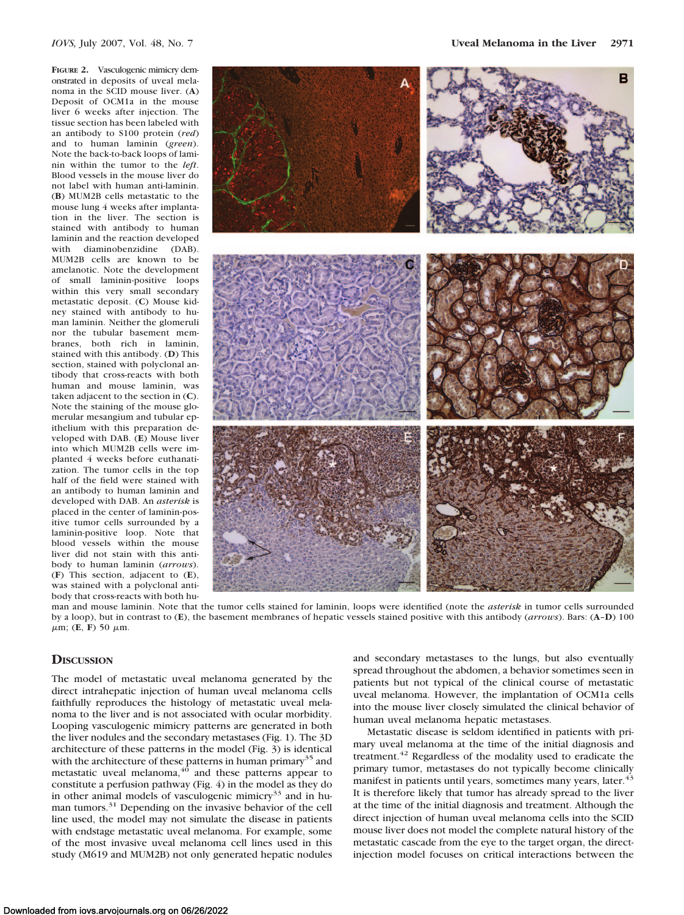**FIGURE 2.** Vasculogenic mimicry demonstrated in deposits of uveal melanoma in the SCID mouse liver. (**A**) Deposit of OCM1a in the mouse liver 6 weeks after injection. The tissue section has been labeled with an antibody to S100 protein (*red*) and to human laminin (*green*). Note the back-to-back loops of laminin within the tumor to the *left*. Blood vessels in the mouse liver do not label with human anti-laminin. (**B**) MUM2B cells metastatic to the mouse lung 4 weeks after implantation in the liver. The section is stained with antibody to human laminin and the reaction developed with diaminobenzidine (DAB). MUM2B cells are known to be amelanotic. Note the development of small laminin-positive loops within this very small secondary metastatic deposit. (**C**) Mouse kidney stained with antibody to human laminin. Neither the glomeruli nor the tubular basement membranes, both rich in laminin, stained with this antibody. (**D**) This section, stained with polyclonal antibody that cross-reacts with both human and mouse laminin, was taken adjacent to the section in (**C**). Note the staining of the mouse glomerular mesangium and tubular epithelium with this preparation developed with DAB. (**E**) Mouse liver into which MUM2B cells were implanted 4 weeks before euthanatization. The tumor cells in the top half of the field were stained with an antibody to human laminin and developed with DAB. An *asterisk* is placed in the center of laminin-positive tumor cells surrounded by a laminin-positive loop. Note that blood vessels within the mouse liver did not stain with this antibody to human laminin (*arrows*). (**F**) This section, adjacent to (**E**), was stained with a polyclonal antibody that cross-reacts with both hu-



man and mouse laminin. Note that the tumor cells stained for laminin, loops were identified (note the *asterisk* in tumor cells surrounded by a loop), but in contrast to (**E**), the basement membranes of hepatic vessels stained positive with this antibody (*arrows*). Bars: (**A**–**D**) 100  $\mu$ m; (**E**, **F**) 50  $\mu$ m.

## **DISCUSSION**

The model of metastatic uveal melanoma generated by the direct intrahepatic injection of human uveal melanoma cells faithfully reproduces the histology of metastatic uveal melanoma to the liver and is not associated with ocular morbidity. Looping vasculogenic mimicry patterns are generated in both the liver nodules and the secondary metastases (Fig. 1). The 3D architecture of these patterns in the model (Fig. 3) is identical with the architecture of these patterns in human primary<sup>35</sup> and metastatic uveal melanoma, $40$  and these patterns appear to constitute a perfusion pathway (Fig. 4) in the model as they do in other animal models of vasculogenic mimicry<sup>33</sup> and in human tumors.<sup>31</sup> Depending on the invasive behavior of the cell line used, the model may not simulate the disease in patients with endstage metastatic uveal melanoma. For example, some of the most invasive uveal melanoma cell lines used in this study (M619 and MUM2B) not only generated hepatic nodules and secondary metastases to the lungs, but also eventually spread throughout the abdomen, a behavior sometimes seen in patients but not typical of the clinical course of metastatic uveal melanoma. However, the implantation of OCM1a cells into the mouse liver closely simulated the clinical behavior of human uveal melanoma hepatic metastases.

Metastatic disease is seldom identified in patients with primary uveal melanoma at the time of the initial diagnosis and treatment.<sup>42</sup> Regardless of the modality used to eradicate the primary tumor, metastases do not typically become clinically manifest in patients until years, sometimes many years, later.<sup>43</sup> It is therefore likely that tumor has already spread to the liver at the time of the initial diagnosis and treatment. Although the direct injection of human uveal melanoma cells into the SCID mouse liver does not model the complete natural history of the metastatic cascade from the eye to the target organ, the directinjection model focuses on critical interactions between the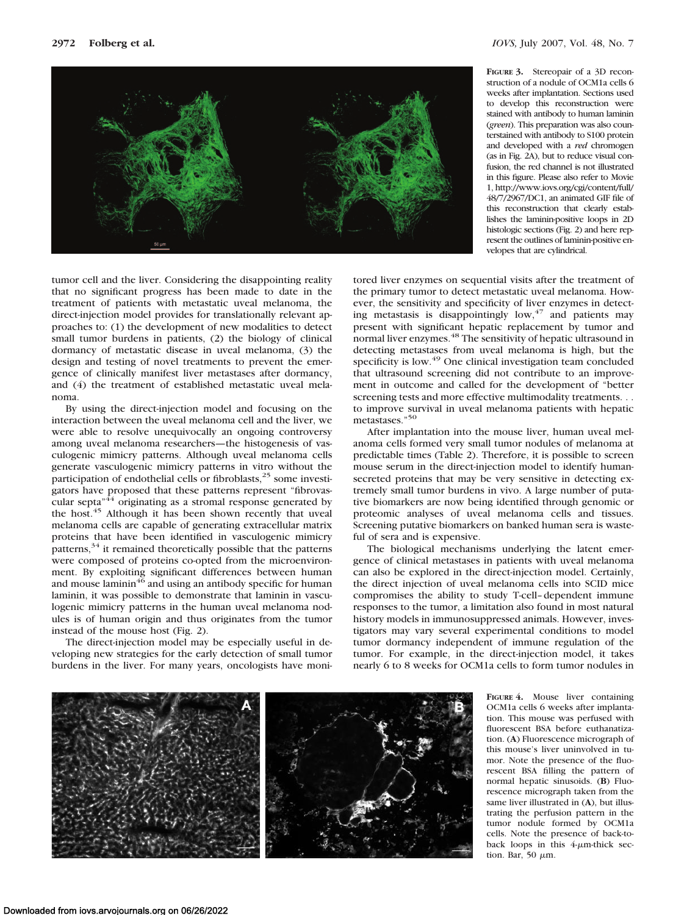

**FIGURE 3.** Stereopair of a 3D reconstruction of a nodule of OCM1a cells 6 weeks after implantation. Sections used to develop this reconstruction were stained with antibody to human laminin (*green*). This preparation was also counterstained with antibody to S100 protein and developed with a *red* chromogen (as in Fig. 2A), but to reduce visual confusion, the red channel is not illustrated in this figure. Please also refer to Movie 1, http://www.iovs.org/cgi/content/full/ 48/7/2967/DC1, an animated GIF file of this reconstruction that clearly establishes the laminin-positive loops in 2D histologic sections (Fig. 2) and here represent the outlines of laminin-positive envelopes that are cylindrical.

tumor cell and the liver. Considering the disappointing reality that no significant progress has been made to date in the treatment of patients with metastatic uveal melanoma, the direct-injection model provides for translationally relevant approaches to: (1) the development of new modalities to detect small tumor burdens in patients, (2) the biology of clinical dormancy of metastatic disease in uveal melanoma, (3) the design and testing of novel treatments to prevent the emergence of clinically manifest liver metastases after dormancy, and (4) the treatment of established metastatic uveal melanoma.

By using the direct-injection model and focusing on the interaction between the uveal melanoma cell and the liver, we were able to resolve unequivocally an ongoing controversy among uveal melanoma researchers—the histogenesis of vasculogenic mimicry patterns. Although uveal melanoma cells generate vasculogenic mimicry patterns in vitro without the participation of endothelial cells or fibroblasts, $25$  some investigators have proposed that these patterns represent "fibrovascular septa<sup>"44</sup> originating as a stromal response generated by the host.<sup>45</sup> Although it has been shown recently that uveal melanoma cells are capable of generating extracellular matrix proteins that have been identified in vasculogenic mimicry patterns, $34$  it remained theoretically possible that the patterns were composed of proteins co-opted from the microenvironment. By exploiting significant differences between human and mouse laminin<sup>46</sup> and using an antibody specific for human laminin, it was possible to demonstrate that laminin in vasculogenic mimicry patterns in the human uveal melanoma nodules is of human origin and thus originates from the tumor instead of the mouse host (Fig. 2).

The direct-injection model may be especially useful in developing new strategies for the early detection of small tumor burdens in the liver. For many years, oncologists have monitored liver enzymes on sequential visits after the treatment of the primary tumor to detect metastatic uveal melanoma. However, the sensitivity and specificity of liver enzymes in detecting metastasis is disappointingly  $low,$ <sup>47</sup> and patients may present with significant hepatic replacement by tumor and normal liver enzymes.<sup>48</sup> The sensitivity of hepatic ultrasound in detecting metastases from uveal melanoma is high, but the specificity is low.<sup>49</sup> One clinical investigation team concluded that ultrasound screening did not contribute to an improvement in outcome and called for the development of "better screening tests and more effective multimodality treatments. . . to improve survival in uveal melanoma patients with hepatic metastases."50

After implantation into the mouse liver, human uveal melanoma cells formed very small tumor nodules of melanoma at predictable times (Table 2). Therefore, it is possible to screen mouse serum in the direct-injection model to identify humansecreted proteins that may be very sensitive in detecting extremely small tumor burdens in vivo. A large number of putative biomarkers are now being identified through genomic or proteomic analyses of uveal melanoma cells and tissues. Screening putative biomarkers on banked human sera is wasteful of sera and is expensive.

The biological mechanisms underlying the latent emergence of clinical metastases in patients with uveal melanoma can also be explored in the direct-injection model. Certainly, the direct injection of uveal melanoma cells into SCID mice compromises the ability to study T-cell– dependent immune responses to the tumor, a limitation also found in most natural history models in immunosuppressed animals. However, investigators may vary several experimental conditions to model tumor dormancy independent of immune regulation of the tumor. For example, in the direct-injection model, it takes nearly 6 to 8 weeks for OCM1a cells to form tumor nodules in



**FIGURE 4.** Mouse liver containing OCM1a cells 6 weeks after implantation. This mouse was perfused with fluorescent BSA before euthanatization. (**A**) Fluorescence micrograph of this mouse's liver uninvolved in tumor. Note the presence of the fluorescent BSA filling the pattern of normal hepatic sinusoids. (**B**) Fluorescence micrograph taken from the same liver illustrated in (**A**), but illustrating the perfusion pattern in the tumor nodule formed by OCM1a cells. Note the presence of back-toback loops in this  $4\text{-}\mu\text{m}\text{-}$ thick section. Bar, 50  $\mu$ m.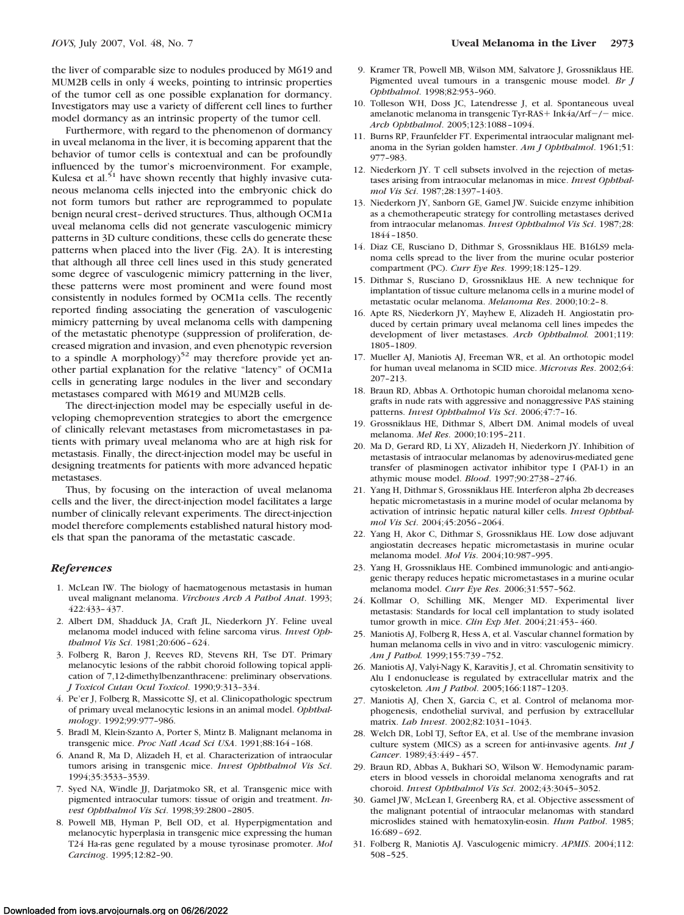the liver of comparable size to nodules produced by M619 and MUM2B cells in only 4 weeks, pointing to intrinsic properties of the tumor cell as one possible explanation for dormancy. Investigators may use a variety of different cell lines to further model dormancy as an intrinsic property of the tumor cell.

Furthermore, with regard to the phenomenon of dormancy in uveal melanoma in the liver, it is becoming apparent that the behavior of tumor cells is contextual and can be profoundly influenced by the tumor's microenvironment. For example, Kulesa et al. $51$  have shown recently that highly invasive cutaneous melanoma cells injected into the embryonic chick do not form tumors but rather are reprogrammed to populate benign neural crest– derived structures. Thus, although OCM1a uveal melanoma cells did not generate vasculogenic mimicry patterns in 3D culture conditions, these cells do generate these patterns when placed into the liver (Fig. 2A). It is interesting that although all three cell lines used in this study generated some degree of vasculogenic mimicry patterning in the liver, these patterns were most prominent and were found most consistently in nodules formed by OCM1a cells. The recently reported finding associating the generation of vasculogenic mimicry patterning by uveal melanoma cells with dampening of the metastatic phenotype (suppression of proliferation, decreased migration and invasion, and even phenotypic reversion to a spindle A morphology)<sup>52</sup> may therefore provide yet another partial explanation for the relative "latency" of OCM1a cells in generating large nodules in the liver and secondary metastases compared with M619 and MUM2B cells.

The direct-injection model may be especially useful in developing chemoprevention strategies to abort the emergence of clinically relevant metastases from micrometastases in patients with primary uveal melanoma who are at high risk for metastasis. Finally, the direct-injection model may be useful in designing treatments for patients with more advanced hepatic metastases.

Thus, by focusing on the interaction of uveal melanoma cells and the liver, the direct-injection model facilitates a large number of clinically relevant experiments. The direct-injection model therefore complements established natural history models that span the panorama of the metastatic cascade.

### *References*

- 1. McLean IW. The biology of haematogenous metastasis in human uveal malignant melanoma. *Virchows Arch A Pathol Anat*. 1993; 422:433– 437.
- 2. Albert DM, Shadduck JA, Craft JL, Niederkorn JY. Feline uveal melanoma model induced with feline sarcoma virus. *Invest Ophthalmol Vis Sci*. 1981;20:606 – 624.
- 3. Folberg R, Baron J, Reeves RD, Stevens RH, Tse DT. Primary melanocytic lesions of the rabbit choroid following topical application of 7,12-dimethylbenzanthracene: preliminary observations. *J Toxicol Cutan Ocul Toxicol*. 1990;9:313–334.
- 4. Pe'er J, Folberg R, Massicotte SJ, et al. Clinicopathologic spectrum of primary uveal melanocytic lesions in an animal model. *Ophthalmology*. 1992;99:977–986.
- 5. Bradl M, Klein-Szanto A, Porter S, Mintz B. Malignant melanoma in transgenic mice. *Proc Natl Acad Sci USA*. 1991;88:164 –168.
- 6. Anand R, Ma D, Alizadeh H, et al. Characterization of intraocular tumors arising in transgenic mice. *Invest Ophthalmol Vis Sci*. 1994;35:3533–3539.
- 7. Syed NA, Windle JJ, Darjatmoko SR, et al. Transgenic mice with pigmented intraocular tumors: tissue of origin and treatment. *Invest Ophthalmol Vis Sci*. 1998;39:2800 –2805.
- 8. Powell MB, Hyman P, Bell OD, et al. Hyperpigmentation and melanocytic hyperplasia in transgenic mice expressing the human T24 Ha-ras gene regulated by a mouse tyrosinase promoter. *Mol Carcinog*. 1995;12:82–90.
- 9. Kramer TR, Powell MB, Wilson MM, Salvatore J, Grossniklaus HE. Pigmented uveal tumours in a transgenic mouse model. *Br J Ophthalmol*. 1998;82:953–960.
- 10. Tolleson WH, Doss JC, Latendresse J, et al. Spontaneous uveal amelanotic melanoma in transgenic Tyr-RAS + Ink4a/Arf $-$ / $-$  mice. *Arch Ophthalmol*. 2005;123:1088 –1094.
- 11. Burns RP, Fraunfelder FT. Experimental intraocular malignant melanoma in the Syrian golden hamster. *Am J Ophthalmol*. 1961;51: 977–983.
- 12. Niederkorn JY. T cell subsets involved in the rejection of metastases arising from intraocular melanomas in mice. *Invest Ophthalmol Vis Sci*. 1987;28:1397–1403.
- 13. Niederkorn JY, Sanborn GE, Gamel JW. Suicide enzyme inhibition as a chemotherapeutic strategy for controlling metastases derived from intraocular melanomas. *Invest Ophthalmol Vis Sci*. 1987;28: 1844 –1850.
- 14. Diaz CE, Rusciano D, Dithmar S, Grossniklaus HE. B16LS9 melanoma cells spread to the liver from the murine ocular posterior compartment (PC). *Curr Eye Res*. 1999;18:125–129.
- 15. Dithmar S, Rusciano D, Grossniklaus HE. A new technique for implantation of tissue culture melanoma cells in a murine model of metastatic ocular melanoma. *Melanoma Res*. 2000;10:2– 8.
- 16. Apte RS, Niederkorn JY, Mayhew E, Alizadeh H. Angiostatin produced by certain primary uveal melanoma cell lines impedes the development of liver metastases. *Arch Ophthalmol.* 2001;119: 1805–1809.
- 17. Mueller AJ, Maniotis AJ, Freeman WR, et al. An orthotopic model for human uveal melanoma in SCID mice. *Microvas Res*. 2002;64: 207–213.
- 18. Braun RD, Abbas A. Orthotopic human choroidal melanoma xenografts in nude rats with aggressive and nonaggressive PAS staining patterns. *Invest Ophthalmol Vis Sci*. 2006;47:7–16.
- 19. Grossniklaus HE, Dithmar S, Albert DM. Animal models of uveal melanoma. *Mel Res*. 2000;10:195–211.
- 20. Ma D, Gerard RD, Li XY, Alizadeh H, Niederkorn JY. Inhibition of metastasis of intraocular melanomas by adenovirus-mediated gene transfer of plasminogen activator inhibitor type I (PAI-1) in an athymic mouse model. *Blood*. 1997;90:2738 –2746.
- 21. Yang H, Dithmar S, Grossniklaus HE. Interferon alpha 2b decreases hepatic micrometastasis in a murine model of ocular melanoma by activation of intrinsic hepatic natural killer cells. *Invest Ophthalmol Vis Sci*. 2004;45:2056 –2064.
- 22. Yang H, Akor C, Dithmar S, Grossniklaus HE. Low dose adjuvant angiostatin decreases hepatic micrometastasis in murine ocular melanoma model. *Mol Vis*. 2004;10:987–995.
- 23. Yang H, Grossniklaus HE. Combined immunologic and anti-angiogenic therapy reduces hepatic micrometastases in a murine ocular melanoma model. *Curr Eye Res*. 2006;31:557–562.
- 24. Kollmar O, Schilling MK, Menger MD. Experimental liver metastasis: Standards for local cell implantation to study isolated tumor growth in mice. *Clin Exp Met*. 2004;21:453– 460.
- 25. Maniotis AJ, Folberg R, Hess A, et al. Vascular channel formation by human melanoma cells in vivo and in vitro: vasculogenic mimicry. *Am J Pathol.* 1999;155:739 –752.
- 26. Maniotis AJ, Valyi-Nagy K, Karavitis J, et al. Chromatin sensitivity to Alu I endonuclease is regulated by extracellular matrix and the cytoskeleton*. Am J Pathol*. 2005;166:1187–1203.
- 27. Maniotis AJ, Chen X, Garcia C, et al. Control of melanoma morphogenesis, endothelial survival, and perfusion by extracellular matrix. *Lab Invest*. 2002;82:1031–1043.
- 28. Welch DR, Lobl TJ, Seftor EA, et al. Use of the membrane invasion culture system (MICS) as a screen for anti-invasive agents. *Int J Cancer*. 1989;43:449 – 457.
- 29. Braun RD, Abbas A, Bukhari SO, Wilson W. Hemodynamic parameters in blood vessels in choroidal melanoma xenografts and rat choroid. *Invest Ophthalmol Vis Sci*. 2002;43:3045–3052.
- 30. Gamel JW, McLean I, Greenberg RA, et al. Objective assessment of the malignant potential of intraocular melanomas with standard microslides stained with hematoxylin-eosin. *Hum Pathol*. 1985; 16:689 – 692.
- 31. Folberg R, Maniotis AJ. Vasculogenic mimicry. *APMIS*. 2004;112: 508 –525.